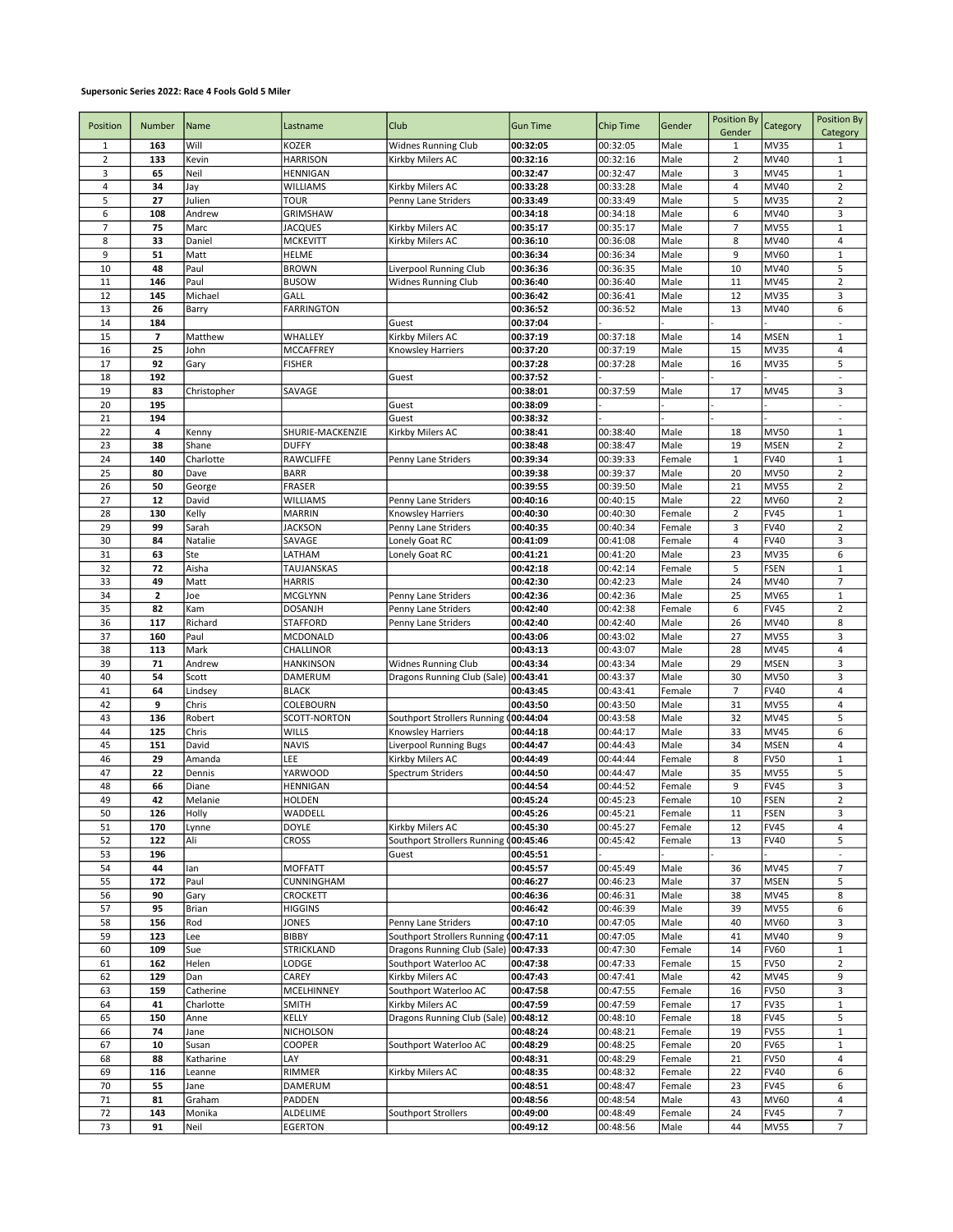## Supersonic Series 2022: Race 4 Fools Gold 5 Miler

| Position       | Number         | Name           | Lastname                     | Club                                    | <b>Gun Time</b>      | Chip Time            | Gender           | Position By<br>Gender | Category                   | Position By<br>Category          |
|----------------|----------------|----------------|------------------------------|-----------------------------------------|----------------------|----------------------|------------------|-----------------------|----------------------------|----------------------------------|
| 1              | 163            | Will           | KOZER                        | <b>Widnes Running Club</b>              | 00:32:05             | 00:32:05             | Male             | 1                     | <b>MV35</b>                | 1                                |
| $\mathbf 2$    | 133            | Kevin          | <b>HARRISON</b>              | Kirkby Milers AC                        | 00:32:16             | 00:32:16             | Male             | $\mathbf 2$           | MV40                       | $\mathbf 1$                      |
| 3<br>4         | 65             | Neil           | <b>HENNIGAN</b>              |                                         | 00:32:47             | 00:32:47             | Male             | 3<br>4                | <b>MV45</b>                | $\mathbf 1$                      |
| 5              | 34<br>27       | Jay<br>Julien  | WILLIAMS<br><b>TOUR</b>      | Kirkby Milers AC<br>Penny Lane Striders | 00:33:28<br>00:33:49 | 00:33:28<br>00:33:49 | Male<br>Male     | 5                     | MV40<br><b>MV35</b>        | $\overline{2}$<br>$\overline{2}$ |
| 6              | 108            | Andrew         | GRIMSHAW                     |                                         | 00:34:18             | 00:34:18             | Male             | 6                     | MV40                       | 3                                |
| $\overline{7}$ | 75             | Marc           | <b>JACQUES</b>               | Kirkby Milers AC                        | 00:35:17             | 00:35:17             | Male             | $\overline{7}$        | <b>MV55</b>                | $\mathbf 1$                      |
| 8              | 33             | Daniel         | <b>MCKEVITT</b>              | Kirkby Milers AC                        | 00:36:10             | 00:36:08             | Male             | 8                     | MV40                       | 4                                |
| 9              | 51             | Matt           | <b>HELME</b>                 |                                         | 00:36:34             | 00:36:34             | Male             | 9                     | <b>MV60</b>                | $\mathbf{1}$                     |
| 10             | 48             | Paul           | <b>BROWN</b>                 | Liverpool Running Club                  | 00:36:36             | 00:36:35             | Male             | 10                    | MV40                       | 5                                |
| 11             | 146            | Paul           | <b>BUSOW</b>                 | <b>Widnes Running Club</b>              | 00:36:40             | 00:36:40             | Male             | 11                    | <b>MV45</b>                | $\mathbf 2$                      |
| 12             | 145            | Michael        | GALL                         |                                         | 00:36:42             | 00:36:41             | Male             | 12                    | <b>MV35</b>                | 3                                |
| 13             | 26             | Barry          | <b>FARRINGTON</b>            |                                         | 00:36:52             | 00:36:52             | Male             | 13                    | MV40                       | 6                                |
| 14             | 184            |                |                              | Guest                                   | 00:37:04             |                      |                  |                       |                            | L.                               |
| 15             | 7              | Matthew        | WHALLEY                      | Kirkby Milers AC                        | 00:37:19             | 00:37:18             | Male             | 14                    | <b>MSEN</b>                | $\mathbf 1$                      |
| 16             | 25             | John           | MCCAFFREY                    | Knowsley Harriers                       | 00:37:20             | 00:37:19             | Male             | 15                    | <b>MV35</b>                | 4                                |
| 17             | 92             | Gary           | <b>FISHER</b>                |                                         | 00:37:28             | 00:37:28             | Male             | 16                    | <b>MV35</b>                | 5                                |
| 18             | 192            |                |                              | Guest                                   | 00:37:52             |                      |                  |                       |                            | $\omega$                         |
| 19             | 83             | Christopher    | SAVAGE                       |                                         | 00:38:01             | 00:37:59             | Male             | 17                    | MV45                       | 3                                |
| 20             | 195            |                |                              | Guest                                   | 00:38:09             |                      |                  |                       |                            | $\blacksquare$                   |
| 21             | 194            |                |                              | Guest                                   | 00:38:32             |                      |                  |                       |                            | $\overline{\phantom{a}}$         |
| 22             | 4              | Kenny          | SHURIE-MACKENZIE             | Kirkby Milers AC                        | 00:38:41             | 00:38:40             | Male             | 18                    | <b>MV50</b>                | $\mathbf{1}$                     |
| 23             | 38             | Shane          | <b>DUFFY</b>                 |                                         | 00:38:48             | 00:38:47             | Male             | 19                    | <b>MSEN</b>                | $\mathbf 2$                      |
| 24             | 140            | Charlotte      | RAWCLIFFE                    | Penny Lane Striders                     | 00:39:34             | 00:39:33             | Female           | $\mathbf 1$           | <b>FV40</b>                | $\mathbf 1$                      |
| 25             | 80             | Dave           | <b>BARR</b>                  |                                         | 00:39:38             | 00:39:37             | Male             | 20                    | <b>MV50</b>                | $\overline{2}$                   |
| 26             | 50             | George         | FRASER                       |                                         | 00:39:55             | 00:39:50             | Male             | 21                    | <b>MV55</b>                | $\mathbf 2$                      |
| 27             | 12             | David          | WILLIAMS                     | Penny Lane Striders                     | 00:40:16             | 00:40:15             | Male             | 22                    | <b>MV60</b>                | $\mathbf 2$                      |
| 28             | 130            | Kelly<br>Sarah | <b>MARRIN</b>                | Knowsley Harriers                       | 00:40:30             | 00:40:30             | Female           | $\mathbf 2$           | <b>FV45</b><br><b>FV40</b> | $\mathbf 1$                      |
| 29<br>30       | 99<br>84       | Natalie        | <b>JACKSON</b><br>SAVAGE     | Penny Lane Striders<br>Lonely Goat RC   | 00:40:35<br>00:41:09 | 00:40:34<br>00:41:08 | Female<br>Female | 3<br>4                | <b>FV40</b>                | $\overline{2}$<br>3              |
| 31             | 63             | Ste            | LATHAM                       | Lonely Goat RC                          | 00:41:21             | 00:41:20             | Male             | 23                    | <b>MV35</b>                | 6                                |
| 32             | 72             | Aisha          | TAUJANSKAS                   |                                         | 00:42:18             | 00:42:14             | Female           | 5                     | <b>FSEN</b>                | $\mathbf 1$                      |
| 33             | 49             | Matt           | <b>HARRIS</b>                |                                         | 00:42:30             | 00:42:23             | Male             | 24                    | MV40                       | $\overline{7}$                   |
| 34             | $\overline{2}$ | Joe            | MCGLYNN                      | Penny Lane Striders                     | 00:42:36             | 00:42:36             | Male             | 25                    | MV65                       | $\mathbf 1$                      |
| 35             | 82             | Kam            | <b>DOSANJH</b>               | Penny Lane Striders                     | 00:42:40             | 00:42:38             | Female           | 6                     | FV45                       | $\overline{2}$                   |
| 36             | 117            | Richard        | <b>STAFFORD</b>              | Penny Lane Striders                     | 00:42:40             | 00:42:40             | Male             | 26                    | MV40                       | 8                                |
| 37             | 160            | Paul           | MCDONALD                     |                                         | 00:43:06             | 00:43:02             | Male             | 27                    | <b>MV55</b>                | 3                                |
| 38             | 113            | Mark           | CHALLINOR                    |                                         | 00:43:13             | 00:43:07             | Male             | 28                    | <b>MV45</b>                | 4                                |
| 39             | 71             | Andrew         | <b>HANKINSON</b>             | <b>Widnes Running Club</b>              | 00:43:34             | 00:43:34             | Male             | 29                    | <b>MSEN</b>                | 3                                |
| 40             | 54             | Scott          | DAMERUM                      | Dragons Running Club (Sale)             | 00:43:41             | 00:43:37             | Male             | 30                    | <b>MV50</b>                | 3                                |
| 41             | 64             | Lindsey        | <b>BLACK</b>                 |                                         | 00:43:45             | 00:43:41             | Female           | $\overline{7}$        | FV40                       | $\sqrt{4}$                       |
| 42             | 9              | Chris          | COLEBOURN                    |                                         | 00:43:50             | 00:43:50             | Male             | 31                    | <b>MV55</b>                | 4                                |
| 43             | 136            | Robert         | SCOTT-NORTON                 | Southport Strollers Running (           | 00:44:04             | 00:43:58             | Male             | 32                    | MV45                       | 5                                |
| 44             | 125            | Chris          | WILLS                        | Knowsley Harriers                       | 00:44:18             | 00:44:17             | Male             | 33                    | <b>MV45</b>                | 6                                |
| 45             | 151            | David          | <b>NAVIS</b>                 | Liverpool Running Bugs                  | 00:44:47             | 00:44:43             | Male             | 34                    | <b>MSEN</b>                | 4                                |
| 46             | 29             | Amanda         | LEE                          | Kirkby Milers AC                        | 00:44:49             | 00:44:44             | Female           | 8                     | FV50                       | $\mathbf 1$                      |
| 47             | 22             | Dennis         | <b>YARWOOD</b>               | Spectrum Striders                       | 00:44:50             | 00:44:47             | Male             | 35                    | <b>MV55</b>                | 5                                |
| 48             | 66             | Diane          | HENNIGAN                     |                                         | 00:44:54             | 00:44:52             | Female           | 9                     | <b>FV45</b>                | 3                                |
| 49             | 42             | Melanie        | <b>HOLDEN</b>                |                                         | 00:45:24             | 00:45:23             | Female           | 10                    | <b>FSEN</b>                | $\overline{2}$                   |
| 50             | 126            | <b>Holly</b>   | WADDELL                      |                                         | 00:45:26             | 00:45:21             | Female           | 11                    | <b>FSEN</b>                | 3                                |
| 51             | 170            | Lynne          | <b>DOYLE</b>                 | Kirkby Milers AC                        | 00:45:30             | 00:45:27             | Female           | 12                    | <b>FV45</b>                | 4                                |
| 52             | 122<br>196     | Ali            | <b>CROSS</b>                 | Southport Strollers Running (           | 00:45:46             | 00:45:42             | Female           | 13                    | <b>FV40</b>                | 5                                |
| 53             |                |                |                              | Guest                                   | 00:45:51<br>00:45:57 |                      | Male             |                       |                            |                                  |
| 54<br>55       | 44<br>172      | lan<br>Paul    | <b>MOFFATT</b><br>CUNNINGHAM |                                         | 00:46:27             | 00:45:49<br>00:46:23 | Male             | 36<br>37              | MV45<br><b>MSEN</b>        | 7<br>5                           |
| 56             | 90             | Gary           | CROCKETT                     |                                         | 00:46:36             | 00:46:31             | Male             | 38                    | <b>MV45</b>                | 8                                |
| 57             | 95             | Brian          | <b>HIGGINS</b>               |                                         | 00:46:42             | 00:46:39             | Male             | 39                    | <b>MV55</b>                | 6                                |
| 58             | 156            | Rod            | JONES                        | Penny Lane Striders                     | 00:47:10             | 00:47:05             | Male             | 40                    | MV60                       | 3                                |
| 59             | 123            | Lee            | <b>BIBBY</b>                 | Southport Strollers Running (00:47:11   |                      | 00:47:05             | Male             | 41                    | MV40                       | 9                                |
| 60             | 109            | Sue            | <b>STRICKLAND</b>            | Dragons Running Club (Sale) 00:47:33    |                      | 00:47:30             | Female           | 14                    | <b>FV60</b>                | $\mathbf{1}$                     |
| 61             | 162            | Helen          | LODGE                        | Southport Waterloo AC                   | 00:47:38             | 00:47:33             | Female           | 15                    | <b>FV50</b>                | $\overline{2}$                   |
| 62             | 129            | Dan            | CAREY                        | Kirkby Milers AC                        | 00:47:43             | 00:47:41             | Male             | 42                    | <b>MV45</b>                | 9                                |
| 63             | 159            | Catherine      | MCELHINNEY                   | Southport Waterloo AC                   | 00:47:58             | 00:47:55             | Female           | 16                    | <b>FV50</b>                | 3                                |
| 64             | 41             | Charlotte      | <b>SMITH</b>                 | Kirkby Milers AC                        | 00:47:59             | 00:47:59             | Female           | 17                    | <b>FV35</b>                | $\mathbf 1$                      |
| 65             | 150            | Anne           | KELLY                        | Dragons Running Club (Sale)             | 00:48:12             | 00:48:10             | Female           | 18                    | <b>FV45</b>                | 5                                |
| 66             | 74             | Jane           | NICHOLSON                    |                                         | 00:48:24             | 00:48:21             | Female           | 19                    | <b>FV55</b>                | $\mathbf{1}$                     |
| 67             | 10             | Susan          | COOPER                       | Southport Waterloo AC                   | 00:48:29             | 00:48:25             | Female           | 20                    | <b>FV65</b>                | $\mathbf{1}$                     |
| 68             | 88             | Katharine      | LAY                          |                                         | 00:48:31             | 00:48:29             | Female           | 21                    | <b>FV50</b>                | 4                                |
| 69             | 116            | Leanne         | RIMMER                       | Kirkby Milers AC                        | 00:48:35             | 00:48:32             | Female           | 22                    | <b>FV40</b>                | 6                                |
| 70             | 55             | Jane           | DAMERUM                      |                                         | 00:48:51             | 00:48:47             | Female           | 23                    | <b>FV45</b>                | 6                                |
| $71\,$         | 81             | Graham         | PADDEN                       |                                         | 00:48:56             | 00:48:54             | Male             | 43                    | MV60                       | 4                                |
| 72             | 143            | Monika         | ALDELIME                     | Southport Strollers                     | 00:49:00             | 00:48:49             | Female           | 24                    | <b>FV45</b>                | $\overline{7}$                   |
| 73             | 91             | Neil           | <b>EGERTON</b>               |                                         | 00:49:12             | 00:48:56             | Male             | 44                    | <b>MV55</b>                | 7                                |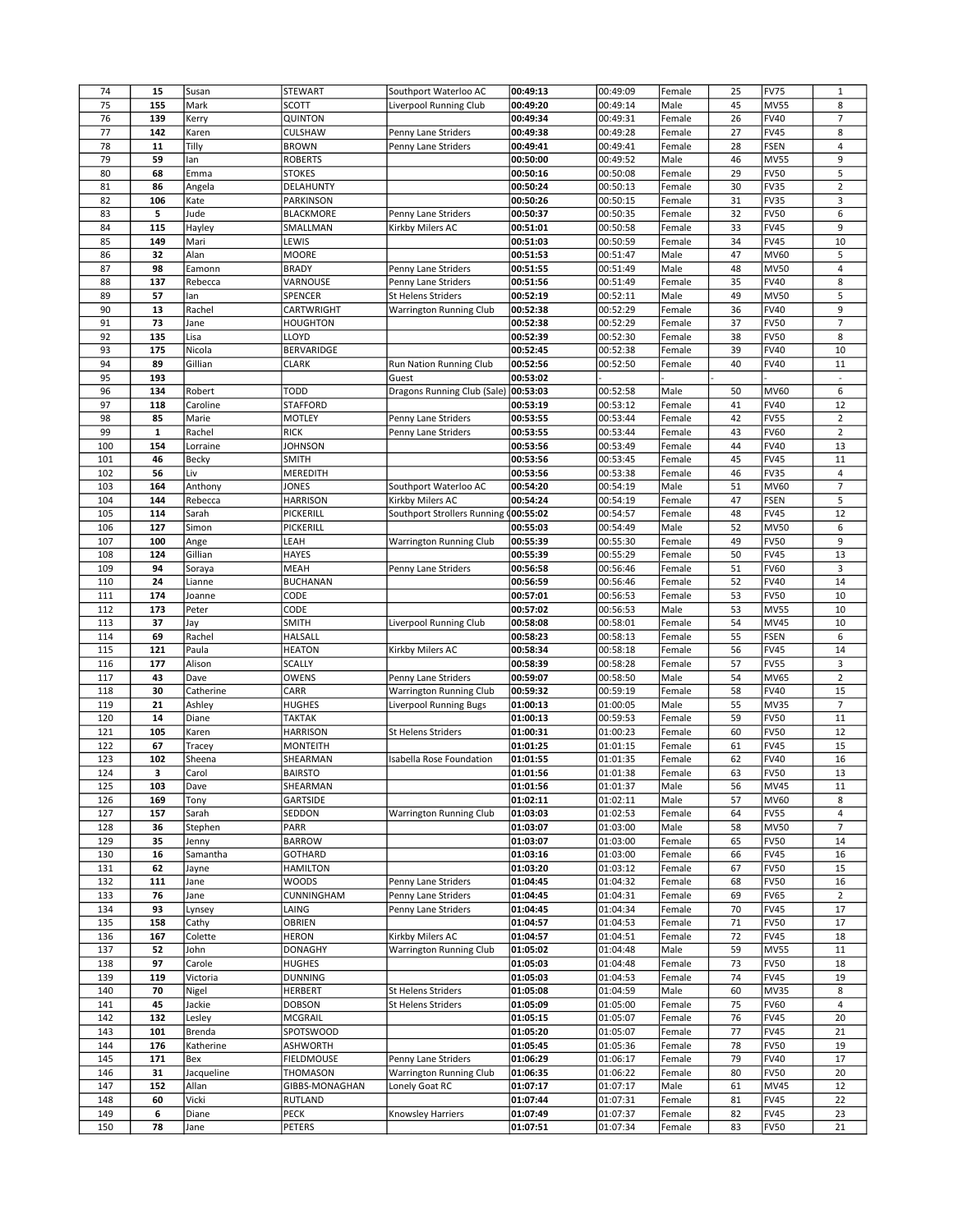| 74  |             |            |                      |                                      |                      |                      |        |          |             |                          |
|-----|-------------|------------|----------------------|--------------------------------------|----------------------|----------------------|--------|----------|-------------|--------------------------|
|     | 15          | Susan      | <b>STEWART</b>       | Southport Waterloo AC                | 00:49:13             | 00:49:09             | Female | 25       | <b>FV75</b> | $1\,$                    |
| 75  | 155         | Mark       | <b>SCOTT</b>         | Liverpool Running Club               | 00:49:20             | 00:49:14             | Male   | 45       | <b>MV55</b> | 8                        |
| 76  | 139         | Kerry      | QUINTON              |                                      | 00:49:34             | 00:49:31             | Female | 26       | <b>FV40</b> | 7                        |
| 77  | 142         | Karen      | CULSHAW              | Penny Lane Striders                  | 00:49:38             | 00:49:28             | Female | 27       | <b>FV45</b> | 8                        |
| 78  | 11          | Tilly      | <b>BROWN</b>         | Penny Lane Striders                  | 00:49:41             | 00:49:41             | Female | 28       | FSEN        | $\sqrt{4}$               |
| 79  | 59          | lan        | <b>ROBERTS</b>       |                                      | 00:50:00             | 00:49:52             | Male   | 46       | <b>MV55</b> | 9                        |
| 80  | 68          | Emma       | <b>STOKES</b>        |                                      | 00:50:16             | 00:50:08             | Female | 29       | <b>FV50</b> | 5                        |
| 81  | 86          | Angela     | DELAHUNTY            |                                      | 00:50:24             | 00:50:13             | Female | 30       | <b>FV35</b> | $\mathbf 2$              |
| 82  | 106         | Kate       | <b>PARKINSON</b>     |                                      | 00:50:26             | 00:50:15             | Female | 31       | <b>FV35</b> | 3                        |
|     |             |            |                      |                                      |                      |                      |        |          |             |                          |
| 83  | 5           | Jude       | <b>BLACKMORE</b>     | Penny Lane Striders                  | 00:50:37             | 00:50:35             | Female | 32       | <b>FV50</b> | 6                        |
| 84  | 115         | Hayley     | SMALLMAN             | Kirkby Milers AC                     | 00:51:01             | 00:50:58             | Female | 33       | <b>FV45</b> | 9                        |
| 85  | 149         | Mari       | LEWIS                |                                      | 00:51:03             | 00:50:59             | Female | 34       | <b>FV45</b> | 10                       |
| 86  | 32          | Alan       | <b>MOORE</b>         |                                      | 00:51:53             | 00:51:47             | Male   | 47       | <b>MV60</b> | 5                        |
| 87  | 98          | Eamonn     | <b>BRADY</b>         | Penny Lane Striders                  | 00:51:55             | 00:51:49             | Male   | 48       | MV50        | 4                        |
| 88  | 137         | Rebecca    | VARNOUSE             | Penny Lane Striders                  | 00:51:56             | 00:51:49             | Female | 35       | <b>FV40</b> | 8                        |
| 89  | 57          | lan        | SPENCER              | St Helens Striders                   | 00:52:19             | 00:52:11             | Male   | 49       | <b>MV50</b> | 5                        |
| 90  | 13          | Rachel     | CARTWRIGHT           | Warrington Running Club              | 00:52:38             | 00:52:29             | Female | 36       | <b>FV40</b> | 9                        |
| 91  | 73          | Jane       | HOUGHTON             |                                      | 00:52:38             | 00:52:29             | Female | 37       | <b>FV50</b> | $\overline{7}$           |
| 92  | 135         | Lisa       | LLOYD                |                                      | 00:52:39             | 00:52:30             | Female | 38       | <b>FV50</b> | 8                        |
| 93  | 175         | Nicola     | BERVARIDGE           |                                      | 00:52:45             | 00:52:38             | Female | 39       | <b>FV40</b> | 10                       |
|     |             |            |                      |                                      |                      |                      |        | 40       | <b>FV40</b> |                          |
| 94  | 89          | Gillian    | <b>CLARK</b>         | Run Nation Running Club              | 00:52:56             | 00:52:50             | Female |          |             | 11                       |
| 95  | 193         |            |                      | Guest                                | 00:53:02             |                      |        |          |             | $\bar{\phantom{a}}$      |
| 96  | 134         | Robert     | <b>TODD</b>          | Dragons Running Club (Sale) 00:53:03 |                      | 00:52:58             | Male   | 50       | <b>MV60</b> | 6                        |
| 97  | 118         | Caroline   | <b>STAFFORD</b>      |                                      | 00:53:19             | 00:53:12             | Female | 41       | <b>FV40</b> | 12                       |
| 98  | 85          | Marie      | MOTLEY               | Penny Lane Striders                  | 00:53:55             | 00:53:44             | Female | 42       | <b>FV55</b> | $\overline{2}$           |
| 99  | $\mathbf 1$ | Rachel     | <b>RICK</b>          | Penny Lane Striders                  | 00:53:55             | 00:53:44             | Female | 43       | <b>FV60</b> | $\overline{2}$           |
| 100 | 154         | Lorraine   | <b>JOHNSON</b>       |                                      | 00:53:56             | 00:53:49             | Female | 44       | <b>FV40</b> | 13                       |
| 101 | 46          | Becky      | <b>SMITH</b>         |                                      | 00:53:56             | 00:53:45             | Female | 45       | <b>FV45</b> | 11                       |
| 102 | 56          | Liv        | MEREDITH             |                                      | 00:53:56             | 00:53:38             | Female | 46       | <b>FV35</b> | 4                        |
| 103 | 164         | Anthony    | JONES                | Southport Waterloo AC                | 00:54:20             | 00:54:19             | Male   | 51       | <b>MV60</b> | $\overline{\phantom{a}}$ |
| 104 | 144         | Rebecca    | <b>HARRISON</b>      | Kirkby Milers AC                     | 00:54:24             | 00:54:19             | Female | 47       | FSEN        | 5                        |
|     | 114         | Sarah      | PICKERILL            |                                      | 00:55:02             |                      |        | 48       | <b>FV45</b> | 12                       |
| 105 |             |            |                      | Southport Strollers Running          |                      | 00:54:57             | Female |          |             |                          |
| 106 | 127         | Simon      | PICKERILL            |                                      | 00:55:03             | 00:54:49             | Male   | 52       | <b>MV50</b> | 6                        |
| 107 | 100         | Ange       | LEAH                 | <b>Warrington Running Club</b>       | 00:55:39             | 00:55:30             | Female | 49       | <b>FV50</b> | 9                        |
| 108 | 124         | Gillian    | <b>HAYES</b>         |                                      | 00:55:39             | 00:55:29             | Female | 50       | <b>FV45</b> | 13                       |
| 109 | 94          | Soraya     | MEAH                 | Penny Lane Striders                  | 00:56:58             | 00:56:46             | Female | 51       | <b>FV60</b> | 3                        |
| 110 | 24          | Lianne     | <b>BUCHANAN</b>      |                                      | 00:56:59             | 00:56:46             | Female | 52       | <b>FV40</b> | 14                       |
| 111 | 174         | Joanne     | CODE                 |                                      | 00:57:01             | 00:56:53             | Female | 53       | <b>FV50</b> | 10                       |
| 112 | 173         | Peter      | CODE                 |                                      | 00:57:02             | 00:56:53             | Male   | 53       | <b>MV55</b> | 10                       |
| 113 | 37          | Jay        | <b>SMITH</b>         | Liverpool Running Club               | 00:58:08             | 00:58:01             | Female | 54       | MV45        | 10                       |
| 114 | 69          | Rachel     | <b>HALSALL</b>       |                                      | 00:58:23             | 00:58:13             | Female | 55       | <b>FSEN</b> | 6                        |
| 115 |             |            |                      | Kirkby Milers AC                     |                      | 00:58:18             | Female | 56       | <b>FV45</b> | 14                       |
|     |             |            |                      |                                      |                      |                      |        |          |             |                          |
|     | 121         | Paula      | <b>HEATON</b>        |                                      | 00:58:34             |                      |        |          |             |                          |
| 116 | 177         | Alison     | <b>SCALLY</b>        |                                      | 00:58:39             | 00:58:28             | Female | 57       | <b>FV55</b> | 3                        |
| 117 | 43          | Dave       | OWENS                | Penny Lane Striders                  | 00:59:07             | 00:58:50             | Male   | 54       | <b>MV65</b> | $\overline{2}$           |
| 118 | 30          | Catherine  | CARR                 | Warrington Running Club              | 00:59:32             | 00:59:19             | Female | 58       | FV40        | 15                       |
| 119 | 21          | Ashley     | HUGHES               | Liverpool Running Bugs               | 01:00:13             | 01:00:05             | Male   | 55       | <b>MV35</b> | $\overline{7}$           |
| 120 | 14          | Diane      | TAKTAK               |                                      | 01:00:13             | 00:59:53             | Female | 59       | <b>FV50</b> | 11                       |
| 121 | 105         | Karen      | <b>HARRISON</b>      | <b>St Helens Striders</b>            | 01:00:31             | 01:00:23             | Female | 60       | <b>FV50</b> | 12                       |
| 122 | 67          | Tracey     | <b>MONTEITH</b>      |                                      | 01:01:25             | 01:01:15             | Female | 61       | <b>FV45</b> | 15                       |
| 123 | 102         | Sheena     | SHEARMAN             | Isabella Rose Foundation             | 01:01:55             | 01:01:35             | Female | 62       | <b>FV40</b> | 16                       |
| 124 | 3           | Carol      | <b>BAIRSTO</b>       |                                      | 01:01:56             | 01:01:38             | Female | 63       | <b>FV50</b> | 13                       |
| 125 | 103         | Dave       |                      |                                      | 01:01:56             |                      | Male   |          | <b>MV45</b> | 11                       |
| 126 | 169         | Tony       | SHEARMAN<br>GARTSIDE |                                      | 01:02:11             | 01:01:37<br>01:02:11 | Male   | 56<br>57 | MV60        | 8                        |
|     |             |            |                      |                                      |                      |                      |        |          |             |                          |
| 127 | 157         | Sarah      | SEDDON               | <b>Warrington Running Club</b>       | 01:03:03             | 01:02:53             | Female | 64       | <b>FV55</b> | 4                        |
| 128 | 36          | Stephen    | PARR                 |                                      | 01:03:07             | 01:03:00             | Male   | 58       | MV50        | $\overline{7}$           |
| 129 | 35          | Jenny      | <b>BARROW</b>        |                                      | 01:03:07             | 01:03:00             | Female | 65       | <b>FV50</b> | 14                       |
| 130 | 16          | Samantha   | GOTHARD              |                                      | 01:03:16             | 01:03:00             | Female | 66       | <b>FV45</b> | 16                       |
| 131 | 62          | Jayne      | <b>HAMILTON</b>      |                                      | 01:03:20             | 01:03:12             | Female | 67       | <b>FV50</b> | 15                       |
| 132 | 111         | Jane       | WOODS                | Penny Lane Striders                  | 01:04:45             | 01:04:32             | Female | 68       | <b>FV50</b> | 16                       |
| 133 | 76          | Jane       | CUNNINGHAM           | Penny Lane Striders                  | 01:04:45             | 01:04:31             | Female | 69       | <b>FV65</b> | $\overline{2}$           |
| 134 | 93          | Lynsey     | LAING                | Penny Lane Striders                  | 01:04:45             | 01:04:34             | Female | $70$     | <b>FV45</b> | 17                       |
| 135 | 158         | Cathy      | OBRIEN               |                                      | 01:04:57             | 01:04:53             | Female | $71\,$   | <b>FV50</b> | 17                       |
| 136 | 167         | Colette    | HERON                | Kirkby Milers AC                     | 01:04:57             | 01:04:51             | Female | 72       | <b>FV45</b> | 18                       |
| 137 | 52          | John       | <b>DONAGHY</b>       | <b>Warrington Running Club</b>       | 01:05:02             | 01:04:48             | Male   | 59       | MV55        | 11                       |
| 138 | 97          | Carole     | <b>HUGHES</b>        |                                      | 01:05:03             | 01:04:48             | Female | 73       | <b>FV50</b> | 18                       |
| 139 | 119         | Victoria   | <b>DUNNING</b>       |                                      | 01:05:03             | 01:04:53             | Female | 74       | <b>FV45</b> | 19                       |
|     |             |            |                      |                                      |                      |                      |        |          |             |                          |
| 140 | 70          | Nigel      | HERBERT              | St Helens Striders                   | 01:05:08             | 01:04:59             | Male   | 60       | MV35        | 8                        |
| 141 | 45          | Jackie     | DOBSON               | St Helens Striders                   | 01:05:09             | 01:05:00             | Female | 75       | <b>FV60</b> | 4                        |
| 142 | 132         | Lesley     | MCGRAIL              |                                      | 01:05:15             | 01:05:07             | Female | 76       | <b>FV45</b> | 20                       |
| 143 | 101         | Brenda     | SPOTSWOOD            |                                      | 01:05:20             | 01:05:07             | Female | 77       | <b>FV45</b> | 21                       |
| 144 | 176         | Katherine  | <b>ASHWORTH</b>      |                                      | 01:05:45             | 01:05:36             | Female | 78       | <b>FV50</b> | 19                       |
| 145 | 171         | Bex        | FIELDMOUSE           | Penny Lane Striders                  | 01:06:29             | 01:06:17             | Female | 79       | <b>FV40</b> | 17                       |
| 146 | 31          | Jacqueline | THOMASON             | Warrington Running Club              | 01:06:35             | 01:06:22             | Female | 80       | <b>FV50</b> | 20                       |
| 147 | 152         | Allan      | GIBBS-MONAGHAN       | Lonely Goat RC                       | 01:07:17             | 01:07:17             | Male   | 61       | MV45        | 12                       |
| 148 | 60          | Vicki      | RUTLAND              |                                      | 01:07:44             | 01:07:31             | Female | 81       | <b>FV45</b> | 22                       |
| 149 | 6           | Diane      | PECK                 | Knowsley Harriers                    |                      | 01:07:37             | Female | 82       | <b>FV45</b> | 23                       |
| 150 | 78          | Jane       | <b>PETERS</b>        |                                      | 01:07:49<br>01:07:51 | 01:07:34             | Female | 83       | <b>FV50</b> | 21                       |